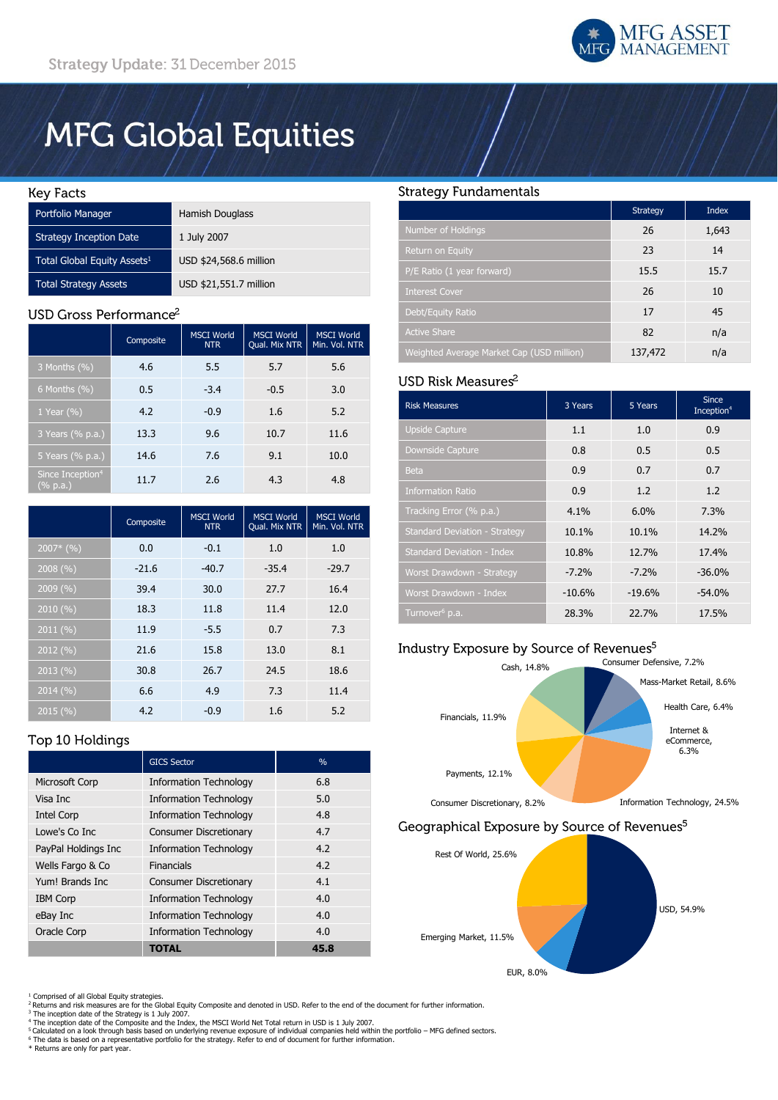

# **MFG Global Equities**

#### **Key Facts**

| Portfolio Manager                       | Hamish Douglass        |
|-----------------------------------------|------------------------|
| <b>Strategy Inception Date</b>          | 1 July 2007            |
| Total Global Equity Assets <sup>1</sup> | USD \$24,568.6 million |
| <b>Total Strategy Assets</b>            | USD \$21,551.7 million |

## USD Gross Performance<sup>2</sup>

|                                          | Composite | <b>MSCI World</b><br><b>NTR</b> | <b>MSCI World</b><br>Qual. Mix NTR | <b>MSCI World</b><br>Min. Vol. NTR |
|------------------------------------------|-----------|---------------------------------|------------------------------------|------------------------------------|
| 3 Months (%)                             | 4.6       | 5.5                             | 5.7                                | 5.6                                |
| $6$ Months $(\% )$                       | 0.5       | $-3.4$                          | $-0.5$                             | 3.0                                |
| 1 Year $(\% )$                           | 4.2       | $-0.9$                          | 1.6                                | 5.2                                |
| 3 Years (% p.a.)                         | 13.3      | 9.6                             | 10.7                               | 11.6                               |
| 5 Years (% p.a.)                         | 14.6      | 7.6                             | 9.1                                | 10.0                               |
| Since Inception <sup>4</sup><br>(% p.a.) | 11.7      | 2.6                             | 4.3                                | 4.8                                |

|             | Composite | <b>MSCI</b> World<br><b>NTR</b> | <b>MSCI World</b><br>Qual. Mix NTR | <b>MSCI World</b><br>Min. Vol. NTR |
|-------------|-----------|---------------------------------|------------------------------------|------------------------------------|
| $2007*$ (%) | 0.0       | $-0.1$                          | 1.0                                | 1.0                                |
| 2008(%)     | $-21.6$   | $-40.7$                         | $-35.4$                            | $-29.7$                            |
| 2009 (%)    | 39.4      | 30.0                            | 27.7                               | 16.4                               |
| 2010 (%)    | 18.3      | 11.8                            | 11.4                               | 12.0                               |
| 2011(%)     | 11.9      | $-5.5$                          | 0.7                                | 7.3                                |
| 2012 (%)    | 21.6      | 15.8                            | 13.0                               | 8.1                                |
| 2013(%)     | 30.8      | 26.7                            | 24.5                               | 18.6                               |
| 2014 (%)    | 6.6       | 4.9                             | 7.3                                | 11.4                               |
| 2015 (%)    | 4.2       | $-0.9$                          | 1.6                                | 5.2                                |

# **Strategy Fundamentals**

|                                           | Strategy | <b>Index</b> |
|-------------------------------------------|----------|--------------|
| Number of Holdings                        | 26       | 1,643        |
| Return on Equity                          | 23       | 14           |
| P/E Ratio (1 year forward)                | 15.5     | 15.7         |
| <b>Interest Cover</b>                     | 26       | 10           |
| Debt/Equity Ratio                         | 17       | 45           |
| <b>Active Share</b>                       | 82       | n/a          |
| Weighted Average Market Cap (USD million) | 137,472  | n/a          |

## USD Risk Measures<sup>2</sup>

| <b>Risk Measures</b>                 | 3 Years  | 5 Years  | <b>Since</b><br>Inception <sup>4</sup> |
|--------------------------------------|----------|----------|----------------------------------------|
| <b>Upside Capture</b>                | 1.1      | 1.0      | 0.9                                    |
| Downside Capture                     | 0.8      | 0.5      | 0.5                                    |
| <b>Beta</b>                          | 0.9      | 0.7      | 0.7                                    |
| <b>Information Ratio</b>             | 0.9      | 1.2      | 1.2                                    |
| Tracking Error (% p.a.)              | 4.1%     | $6.0\%$  | 7.3%                                   |
| <b>Standard Deviation - Strategy</b> | 10.1%    | 10.1%    | 14.2%                                  |
| <b>Standard Deviation - Index</b>    | 10.8%    | 12.7%    | 17.4%                                  |
| Worst Drawdown - Strategy            | $-7.2%$  | $-7.2%$  | $-36.0%$                               |
| Worst Drawdown - Index               | $-10.6%$ | $-19.6%$ | $-54.0%$                               |
| Turnover <sup>6</sup> p.a.           | 28.3%    | 22.7%    | 17.5%                                  |

# Industry Exposure by Source of Revenues<sup>5</sup>





# Top 10 Holdings

|                       | <b>GICS Sector</b>            | $\%$ |
|-----------------------|-------------------------------|------|
| <b>Microsoft Corp</b> | <b>Information Technology</b> | 6.8  |
| Visa Inc              | <b>Information Technology</b> | 5.0  |
| <b>Intel Corp</b>     | <b>Information Technology</b> | 4.8  |
| Lowe's Co Inc         | <b>Consumer Discretionary</b> | 4.7  |
| PayPal Holdings Inc   | <b>Information Technology</b> | 4.2  |
| Wells Fargo & Co      | Financials                    | 4.2  |
| Yum! Brands Inc.      | <b>Consumer Discretionary</b> | 4.1  |
| <b>IBM Corp</b>       | <b>Information Technology</b> | 4.0  |
| eBay Inc              | <b>Information Technology</b> | 4.0  |
| Oracle Corp           | <b>Information Technology</b> | 4.0  |
|                       | <b>TOTAL</b>                  | 45.8 |

- <sup>1</sup> Comprised of all Global Equity strategies.<br><sup>2</sup> Returns and risk measures are for the Global Equity Composite and denoted in USD. Refer to the end of the document for further information.
- 
- <sup>3</sup> The inception date of the Strategy is 1 July 2007.<br><sup>4</sup> The inception date of the Composite and the Index, the MSCI World Net Total return in USD is 1 July 2007.

<sup>5</sup> Calculated on a look through basis based on underlying revenue exposure of individual companies held within the portfolio – MFG defined sectors.<br><sup>6</sup> The data is based on a representative portfolio for the strategy. Ref

\* Returns are only for part year.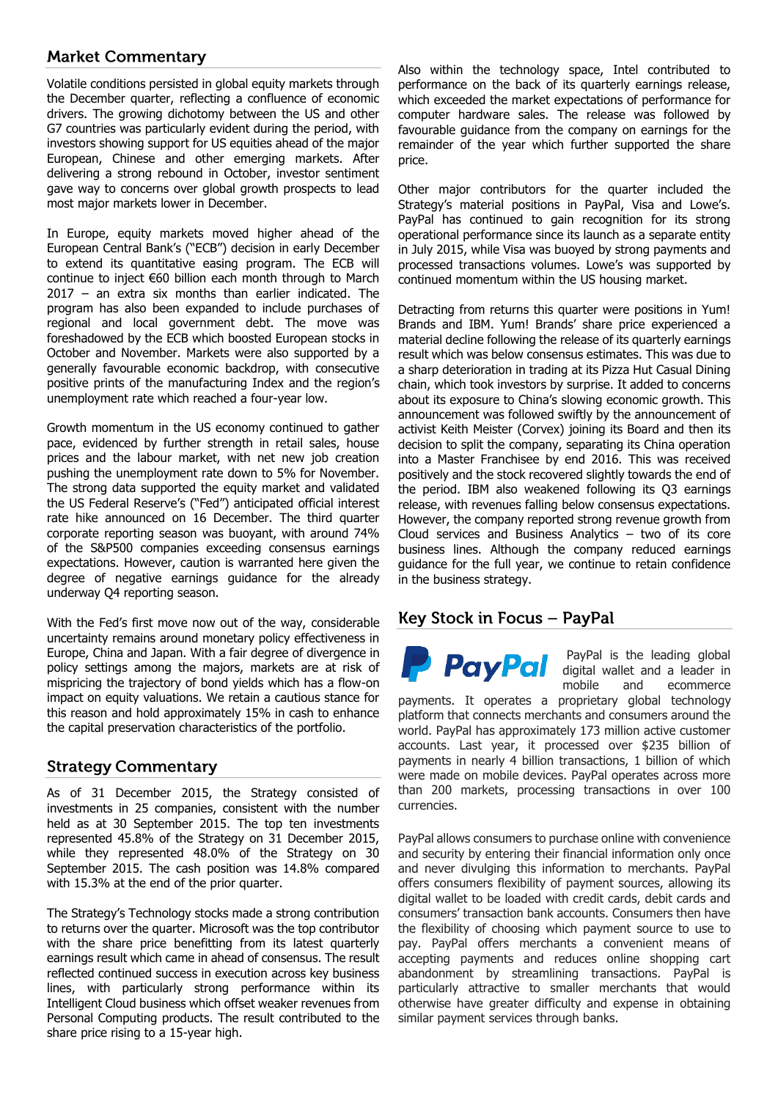# **Market Commentary**

Volatile conditions persisted in global equity markets through the December quarter, reflecting a confluence of economic drivers. The growing dichotomy between the US and other G7 countries was particularly evident during the period, with investors showing support for US equities ahead of the major European, Chinese and other emerging markets. After delivering a strong rebound in October, investor sentiment gave way to concerns over global growth prospects to lead most major markets lower in December.

In Europe, equity markets moved higher ahead of the European Central Bank's ("ECB") decision in early December to extend its quantitative easing program. The ECB will continue to inject €60 billion each month through to March 2017 – an extra six months than earlier indicated. The program has also been expanded to include purchases of regional and local government debt. The move was foreshadowed by the ECB which boosted European stocks in October and November. Markets were also supported by a generally favourable economic backdrop, with consecutive positive prints of the manufacturing Index and the region's unemployment rate which reached a four-year low.

Growth momentum in the US economy continued to gather pace, evidenced by further strength in retail sales, house prices and the labour market, with net new job creation pushing the unemployment rate down to 5% for November. The strong data supported the equity market and validated the US Federal Reserve's ("Fed") anticipated official interest rate hike announced on 16 December. The third quarter corporate reporting season was buoyant, with around 74% of the S&P500 companies exceeding consensus earnings expectations. However, caution is warranted here given the degree of negative earnings guidance for the already underway Q4 reporting season.

With the Fed's first move now out of the way, considerable uncertainty remains around monetary policy effectiveness in Europe, China and Japan. With a fair degree of divergence in policy settings among the majors, markets are at risk of mispricing the trajectory of bond yields which has a flow-on impact on equity valuations. We retain a cautious stance for this reason and hold approximately 15% in cash to enhance the capital preservation characteristics of the portfolio.

# **Strategy Commentary**

As of 31 December 2015, the Strategy consisted of investments in 25 companies, consistent with the number held as at 30 September 2015. The top ten investments represented 45.8% of the Strategy on 31 December 2015, while they represented 48.0% of the Strategy on 30 September 2015. The cash position was 14.8% compared with 15.3% at the end of the prior quarter.

The Strategy's Technology stocks made a strong contribution to returns over the quarter. Microsoft was the top contributor with the share price benefitting from its latest quarterly earnings result which came in ahead of consensus. The result reflected continued success in execution across key business lines, with particularly strong performance within its Intelligent Cloud business which offset weaker revenues from Personal Computing products. The result contributed to the share price rising to a 15-year high.

Also within the technology space, Intel contributed to performance on the back of its quarterly earnings release, which exceeded the market expectations of performance for computer hardware sales. The release was followed by favourable guidance from the company on earnings for the remainder of the year which further supported the share price.

Other major contributors for the quarter included the Strategy's material positions in PayPal, Visa and Lowe's. PayPal has continued to gain recognition for its strong operational performance since its launch as a separate entity in July 2015, while Visa was buoyed by strong payments and processed transactions volumes. Lowe's was supported by continued momentum within the US housing market.

Detracting from returns this quarter were positions in Yum! Brands and IBM. Yum! Brands' share price experienced a material decline following the release of its quarterly earnings result which was below consensus estimates. This was due to a sharp deterioration in trading at its Pizza Hut Casual Dining chain, which took investors by surprise. It added to concerns about its exposure to China's slowing economic growth. This announcement was followed swiftly by the announcement of activist Keith Meister (Corvex) joining its Board and then its decision to split the company, separating its China operation into a Master Franchisee by end 2016. This was received positively and the stock recovered slightly towards the end of the period. IBM also weakened following its Q3 earnings release, with revenues falling below consensus expectations. However, the company reported strong revenue growth from Cloud services and Business Analytics – two of its core business lines. Although the company reduced earnings guidance for the full year, we continue to retain confidence in the business strategy.

# Key Stock in Focus – PayPal



PayPal is the leading global digital wallet and a leader in mobile and ecommerce

payments. It operates a proprietary global technology platform that connects merchants and consumers around the world. PayPal has approximately 173 million active customer accounts. Last year, it processed over \$235 billion of payments in nearly 4 billion transactions, 1 billion of which were made on mobile devices. PayPal operates across more than 200 markets, processing transactions in over 100 currencies.

PayPal allows consumers to purchase online with convenience and security by entering their financial information only once and never divulging this information to merchants. PayPal offers consumers flexibility of payment sources, allowing its digital wallet to be loaded with credit cards, debit cards and consumers' transaction bank accounts. Consumers then have the flexibility of choosing which payment source to use to pay. PayPal offers merchants a convenient means of accepting payments and reduces online shopping cart abandonment by streamlining transactions. PayPal is particularly attractive to smaller merchants that would otherwise have greater difficulty and expense in obtaining similar payment services through banks.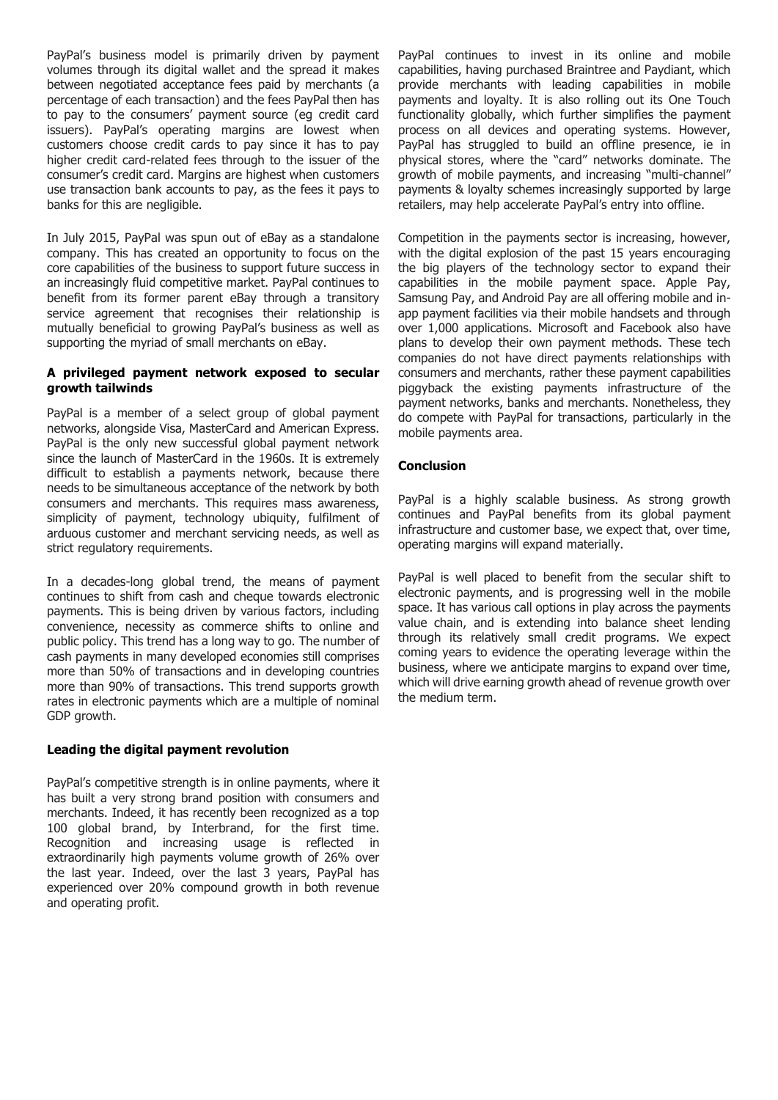PayPal's business model is primarily driven by payment volumes through its digital wallet and the spread it makes between negotiated acceptance fees paid by merchants (a percentage of each transaction) and the fees PayPal then has to pay to the consumers' payment source (eg credit card issuers). PayPal's operating margins are lowest when customers choose credit cards to pay since it has to pay higher credit card-related fees through to the issuer of the consumer's credit card. Margins are highest when customers use transaction bank accounts to pay, as the fees it pays to banks for this are negligible.

In July 2015, PayPal was spun out of eBay as a standalone company. This has created an opportunity to focus on the core capabilities of the business to support future success in an increasingly fluid competitive market. PayPal continues to benefit from its former parent eBay through a transitory service agreement that recognises their relationship is mutually beneficial to growing PayPal's business as well as supporting the myriad of small merchants on eBay.

#### **A privileged payment network exposed to secular growth tailwinds**

PayPal is a member of a select group of global payment networks, alongside Visa, MasterCard and American Express. PayPal is the only new successful global payment network since the launch of MasterCard in the 1960s. It is extremely difficult to establish a payments network, because there needs to be simultaneous acceptance of the network by both consumers and merchants. This requires mass awareness, simplicity of payment, technology ubiquity, fulfilment of arduous customer and merchant servicing needs, as well as strict regulatory requirements.

In a decades-long global trend, the means of payment continues to shift from cash and cheque towards electronic payments. This is being driven by various factors, including convenience, necessity as commerce shifts to online and public policy. This trend has a long way to go. The number of cash payments in many developed economies still comprises more than 50% of transactions and in developing countries more than 90% of transactions. This trend supports growth rates in electronic payments which are a multiple of nominal GDP growth.

## **Leading the digital payment revolution**

PayPal's competitive strength is in online payments, where it has built a very strong brand position with consumers and merchants. Indeed, it has recently been recognized as a top 100 global brand, by Interbrand, for the first time. Recognition and increasing usage is reflected in extraordinarily high payments volume growth of 26% over the last year. Indeed, over the last 3 years, PayPal has experienced over 20% compound growth in both revenue and operating profit.

PayPal continues to invest in its online and mobile capabilities, having purchased Braintree and Paydiant, which provide merchants with leading capabilities in mobile payments and loyalty. It is also rolling out its One Touch functionality globally, which further simplifies the payment process on all devices and operating systems. However, PayPal has struggled to build an offline presence, ie in physical stores, where the "card" networks dominate. The growth of mobile payments, and increasing "multi-channel" payments & loyalty schemes increasingly supported by large retailers, may help accelerate PayPal's entry into offline.

Competition in the payments sector is increasing, however, with the digital explosion of the past 15 years encouraging the big players of the technology sector to expand their capabilities in the mobile payment space. Apple Pay, Samsung Pay, and Android Pay are all offering mobile and inapp payment facilities via their mobile handsets and through over 1,000 applications. Microsoft and Facebook also have plans to develop their own payment methods. These tech companies do not have direct payments relationships with consumers and merchants, rather these payment capabilities piggyback the existing payments infrastructure of the payment networks, banks and merchants. Nonetheless, they do compete with PayPal for transactions, particularly in the mobile payments area.

## **Conclusion**

PayPal is a highly scalable business. As strong growth continues and PayPal benefits from its global payment infrastructure and customer base, we expect that, over time, operating margins will expand materially.

PayPal is well placed to benefit from the secular shift to electronic payments, and is progressing well in the mobile space. It has various call options in play across the payments value chain, and is extending into balance sheet lending through its relatively small credit programs. We expect coming years to evidence the operating leverage within the business, where we anticipate margins to expand over time, which will drive earning growth ahead of revenue growth over the medium term.